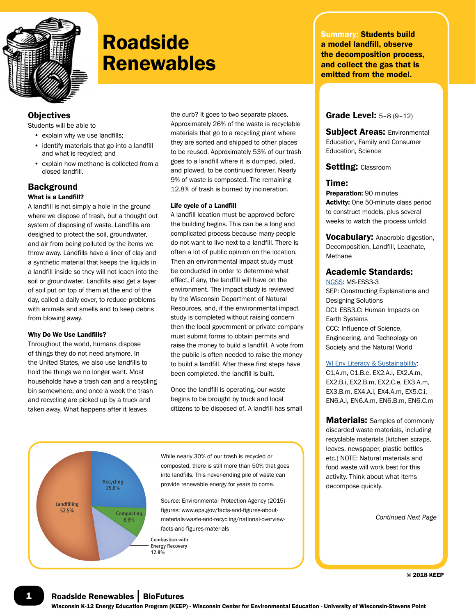

## **Roadside Renewables**

## **Objectives**

Students will be able to

- explain why we use landfills;
- identify materials that go into a landfill and what is recycled; and
- explain how methane is collected from a closed landfill.

## **Background**

#### What is a Landfill?

A landfill is not simply a hole in the ground where we dispose of trash, but a thought out system of disposing of waste. Landfills are designed to protect the soil, groundwater, and air from being polluted by the items we throw away. Landfills have a liner of clay and a synthetic material that keeps the liquids in a landfill inside so they will not leach into the soil or groundwater. Landfills also get a layer of soil put on top of them at the end of the day, called a daily cover, to reduce problems with animals and smells and to keep debris from blowing away.

#### Why Do We Use Landfills?

Throughout the world, humans dispose of things they do not need anymore. In the United States, we also use landfills to hold the things we no longer want. Most households have a trash can and a recycling bin somewhere, and once a week the trash and recycling are picked up by a truck and taken away. What happens after it leaves

the curb? It goes to two separate places. Approximately 26% of the waste is recyclable materials that go to a recycling plant where they are sorted and shipped to other places to be reused. Approximately 53% of our trash goes to a landfill where it is dumped, piled, and plowed, to be continued forever. Nearly 9% of waste is composted. The remaining 12.8% of trash is burned by incineration.

#### Life cycle of a Landfill

A landfill location must be approved before the building begins. This can be a long and complicated process because many people do not want to live next to a landfill. There is often a lot of public opinion on the location. Then an environmental impact study must be conducted in order to determine what effect, if any, the landfill will have on the environment. The impact study is reviewed by the Wisconsin Department of Natural Resources, and, if the environmental impact study is completed without raising concern then the local government or private company must submit forms to obtain permits and raise the money to build a landfill. A vote from the public is often needed to raise the money to build a landfill. After these first steps have been completed, the landfill is built.

Once the landfill is operating, our waste begins to be brought by truck and local citizens to be disposed of. A landfill has small



While nearly 30% of our trash is recycled or composted, there is still more than 50% that goes into landfills. This never-ending pile of waste can provide renewable energy for years to come.

Source: Environmental Protection Agency (2015) figures: www.epa.gov/facts-and-figures-aboutmaterials-waste-and-recycling/national-overviewfacts-and-figures-materials

**Combustion with Energy Recovery** 12.8%

Summary: Students build a model landfill, observe the decomposition process, and collect the gas that is emitted from the model.

## Grade Level: 5–8 (9–12)

Subject Areas: Environmental Education, Family and Consumer Education, Science

#### Setting: Classroom

#### Time:

Preparation: 90 minutes Activity: One 50-minute class period to construct models, plus several weeks to watch the process unfold

Vocabulary: Anaerobic digestion, Decomposition, Landfill, Leachate, Methane

### Academic Standards:

NGSS: MS-ESS3-3 SEP: Constructing Explanations and Designing Solutions DCI: ESS3.C: Human Impacts on Earth Systems CCC: Influence of Science, Engineering, and Technology on Society and the Natural World

#### WI Env Literacy & Sustainability:

C1.A.m, C1.B.e, EX2.A.i, EX2.A.m, EX2.B.i, EX2.B.m, EX2.C.e, EX3.A.m, EX3.B.m, EX4.A.i, EX4.A.m, EX5.C.i, EN6.A.i, EN6.A.m, EN6.B.m, EN6.C.m

**Materials:** Samples of commonly discarded waste materials, including recyclable materials (kitchen scraps, leaves, newspaper, plastic bottles etc.) NOTE: Natural materials and food waste will work best for this activity. Think about what items decompose quickly.

*Continued Next Page*

© 2018 KEEP

**1** Roadside Renewables | BioFutures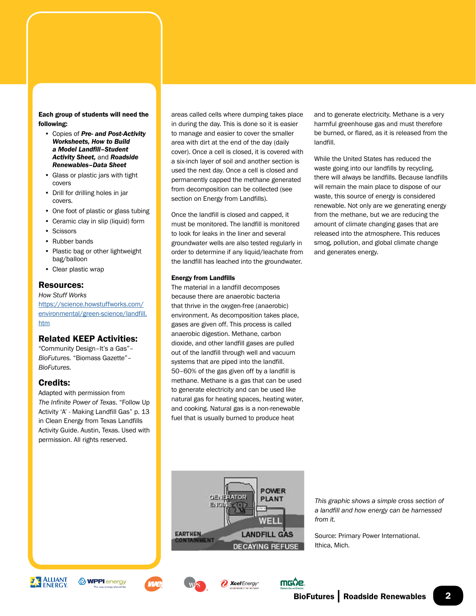#### Each group of students will need the following:

- Copies of *Pre- and Post-Activity Worksheets, How to Build a Model Landfill–Student Activity Sheet,* and *Roadside Renewables–Data Sheet*
- Glass or plastic jars with tight covers
- Drill for drilling holes in jar covers.
- One foot of plastic or glass tubing
- Ceramic clay in slip (liquid) form
- Scissors
- Rubber bands
- Plastic bag or other lightweight bag/balloon
- Clear plastic wrap

### Resources:

*How Stuff Works* [https://science.howstuffworks.com/](https://science.howstuffworks.com/environmental/green-science/landfill.htm) [environmental/green-science/landfill.](https://science.howstuffworks.com/environmental/green-science/landfill.htm) [htm](https://science.howstuffworks.com/environmental/green-science/landfill.htm)

## Related KEEP Activities:

"Community Design–It's a Gas"– *BioFutures.* "Biomass Gazette"– *BioFutures.*

## Credits:

Adapted with permission from *The Infinite Power of Texas*. "Follow Up Activity 'A' - Making Landfill Gas" p. 13 in Clean Energy from Texas Landfills Activity Guide. Austin, Texas. Used with permission. All rights reserved.

areas called cells where dumping takes place in during the day. This is done so it is easier to manage and easier to cover the smaller area with dirt at the end of the day (daily cover). Once a cell is closed, it is covered with a six-inch layer of soil and another section is used the next day. Once a cell is closed and permanently capped the methane generated from decomposition can be collected (see section on Energy from Landfills).

Once the landfill is closed and capped, it must be monitored. The landfill is monitored to look for leaks in the liner and several groundwater wells are also tested regularly in order to determine if any liquid/leachate from the landfill has leached into the groundwater.

#### Energy from Landfills

The material in a landfill decomposes because there are anaerobic bacteria that thrive in the oxygen-free (anaerobic) environment. As decomposition takes place, gases are given off. This process is called anaerobic digestion. Methane, carbon dioxide, and other landfill gases are pulled out of the landfill through well and vacuum systems that are piped into the landfill. 50–60% of the gas given off by a landfill is methane. Methane is a gas that can be used to generate electricity and can be used like natural gas for heating spaces, heating water, and cooking. Natural gas is a non-renewable fuel that is usually burned to produce heat

and to generate electricity. Methane is a very harmful greenhouse gas and must therefore be burned, or flared, as it is released from the landfill.

While the United States has reduced the waste going into our landfills by recycling, there will always be landfills. Because landfills will remain the main place to dispose of our waste, this source of energy is considered renewable. Not only are we generating energy from the methane, but we are reducing the amount of climate changing gases that are released into the atmosphere. This reduces smog, pollution, and global climate change and generates energy.



*This graphic shows a simple cross section of a landfill and how energy can be harnessed from it.*

Source: Primary Power International. Ithica, Mich.











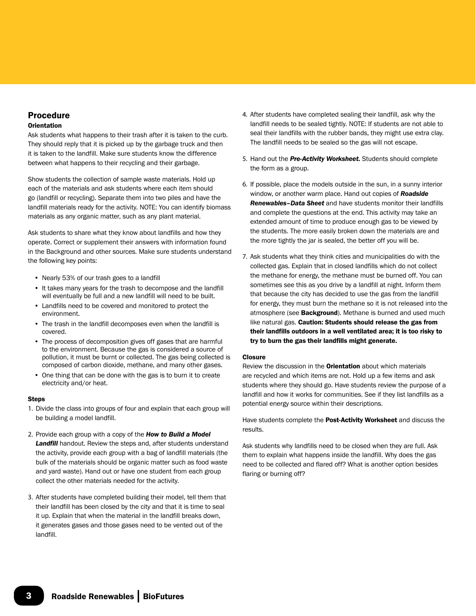## Procedure

#### **Orientation**

Ask students what happens to their trash after it is taken to the curb. They should reply that it is picked up by the garbage truck and then it is taken to the landfill. Make sure students know the difference between what happens to their recycling and their garbage.

Show students the collection of sample waste materials. Hold up each of the materials and ask students where each item should go (landfill or recycling). Separate them into two piles and have the landfill materials ready for the activity. NOTE: You can identify biomass materials as any organic matter, such as any plant material.

Ask students to share what they know about landfills and how they operate. Correct or supplement their answers with information found in the Background and other sources. Make sure students understand the following key points:

- Nearly 53% of our trash goes to a landfill
- It takes many years for the trash to decompose and the landfill will eventually be full and a new landfill will need to be built.
- Landfills need to be covered and monitored to protect the environment.
- The trash in the landfill decomposes even when the landfill is covered.
- The process of decomposition gives off gases that are harmful to the environment. Because the gas is considered a source of pollution, it must be burnt or collected. The gas being collected is composed of carbon dioxide, methane, and many other gases.
- One thing that can be done with the gas is to burn it to create electricity and/or heat.

#### **Steps**

- 1. Divide the class into groups of four and explain that each group will be building a model landfill.
- 2. Provide each group with a copy of the *How to Build a Model Landfill* handout. Review the steps and, after students understand the activity, provide each group with a bag of landfill materials (the bulk of the materials should be organic matter such as food waste and yard waste). Hand out or have one student from each group collect the other materials needed for the activity.
- 3. After students have completed building their model, tell them that their landfill has been closed by the city and that it is time to seal it up. Explain that when the material in the landfill breaks down, it generates gases and those gases need to be vented out of the landfill.
- 4. After students have completed sealing their landfill, ask why the landfill needs to be sealed tightly. NOTE: If students are not able to seal their landfills with the rubber bands, they might use extra clay. The landfill needs to be sealed so the gas will not escape.
- 5. Hand out the *Pre-Activity Worksheet.* Students should complete the form as a group.
- 6. If possible, place the models outside in the sun, in a sunny interior window, or another warm place. Hand out copies of *Roadside Renewables–Data Sheet* and have students monitor their landfills and complete the questions at the end. This activity may take an extended amount of time to produce enough gas to be viewed by the students. The more easily broken down the materials are and the more tightly the jar is sealed, the better off you will be.
- 7. Ask students what they think cities and municipalities do with the collected gas. Explain that in closed landfills which do not collect the methane for energy, the methane must be burned off. You can sometimes see this as you drive by a landfill at night. Inform them that because the city has decided to use the gas from the landfill for energy, they must burn the methane so it is not released into the atmosphere (see Background). Methane is burned and used much like natural gas. Caution: Students should release the gas from their landfills outdoors in a well ventilated area; it is too risky to try to burn the gas their landfills might generate.

#### **Closure**

Review the discussion in the **Orientation** about which materials are recycled and which items are not. Hold up a few items and ask students where they should go. Have students review the purpose of a landfill and how it works for communities. See if they list landfills as a potential energy source within their descriptions.

Have students complete the Post-Activity Worksheet and discuss the results.

Ask students why landfills need to be closed when they are full. Ask them to explain what happens inside the landfill. Why does the gas need to be collected and flared off? What is another option besides flaring or burning off?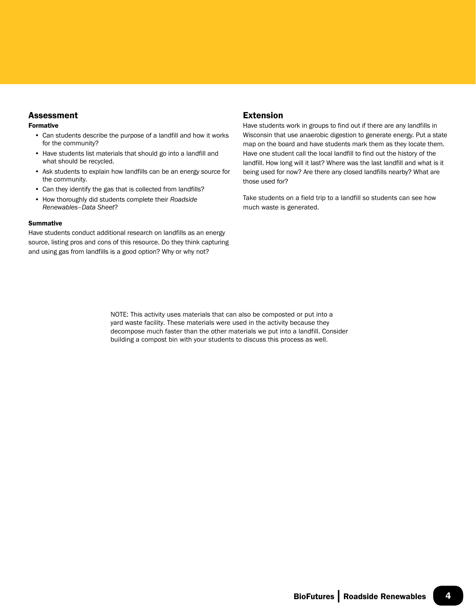## **Assessment**

#### Formative

- Can students describe the purpose of a landfill and how it works for the community?
- Have students list materials that should go into a landfill and what should be recycled.
- Ask students to explain how landfills can be an energy source for the community.
- Can they identify the gas that is collected from landfills?
- How thoroughly did students complete their *Roadside Renewables–Data Sheet*?

#### Summative

Have students conduct additional research on landfills as an energy source, listing pros and cons of this resource. Do they think capturing and using gas from landfills is a good option? Why or why not?

## Extension

Have students work in groups to find out if there are any landfills in Wisconsin that use anaerobic digestion to generate energy. Put a state map on the board and have students mark them as they locate them. Have one student call the local landfill to find out the history of the landfill. How long will it last? Where was the last landfill and what is it being used for now? Are there any closed landfills nearby? What are those used for?

Take students on a field trip to a landfill so students can see how much waste is generated.

NOTE: This activity uses materials that can also be composted or put into a yard waste facility. These materials were used in the activity because they decompose much faster than the other materials we put into a landfill. Consider building a compost bin with your students to discuss this process as well.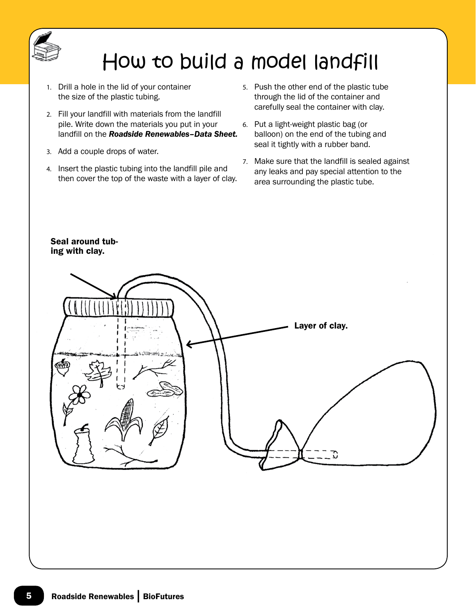

# How to build a model landfill

- 1. Drill a hole in the lid of your container the size of the plastic tubing.
- 2. Fill your landfill with materials from the landfill pile. Write down the materials you put in your landfill on the *Roadside Renewables–Data Sheet.*
- 3. Add a couple drops of water.
- 4. Insert the plastic tubing into the landfill pile and then cover the top of the waste with a layer of clay.
- 5. Push the other end of the plastic tube through the lid of the container and carefully seal the container with clay.
- 6. Put a light-weight plastic bag (or balloon) on the end of the tubing and seal it tightly with a rubber band.
- 7. Make sure that the landfill is sealed against any leaks and pay special attention to the area surrounding the plastic tube.



## Seal around tubing with clay.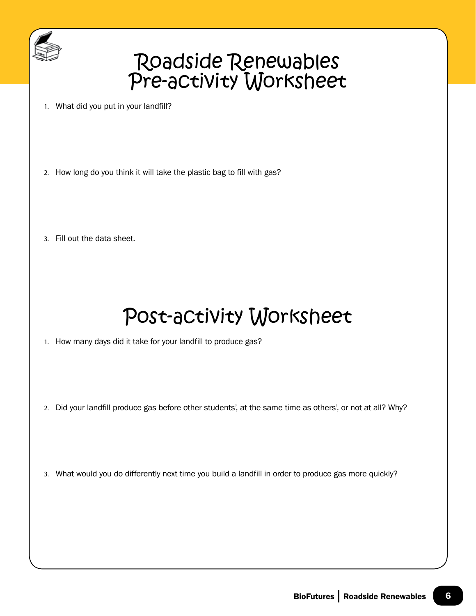

## Roadside Renewables Pre-activity Worksheet

- 1. What did you put in your landfill?
- 2. How long do you think it will take the plastic bag to fill with gas?
- 3. Fill out the data sheet.

# Post-activity Worksheet

1. How many days did it take for your landfill to produce gas?

- 2. Did your landfill produce gas before other students', at the same time as others', or not at all? Why?
- 3. What would you do differently next time you build a landfill in order to produce gas more quickly?